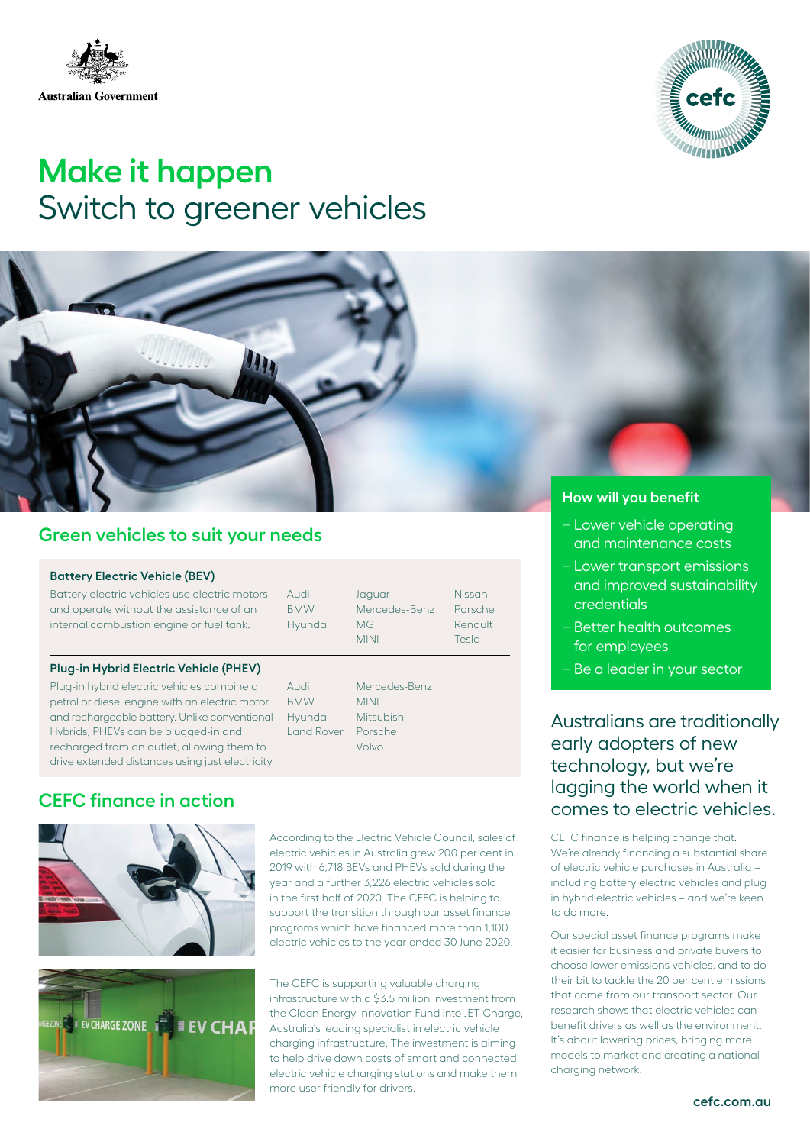



# **Make it happen** Switch to greener vehicles



# **Green vehicles to suit your needs**

#### **Battery Electric Vehicle (BEV)**

Battery electric vehicles use electric motors and operate without the assistance of an internal combustion engine or fuel tank.

Audi **BMW** Hyundai Jagua Merc MG MINI

| Nissan  |
|---------|
| Porsche |
| Renault |
| Tesla   |
|         |

### **Plug-in Hybrid Electric Vehicle (PHEV)**

Plug-in hybrid electric vehicles combine a petrol or diesel engine with an electric motor and rechargeable battery. Unlike conventional Hybrids, PHEVs can be plugged-in and recharged from an outlet, allowing them to drive extended distances using just electricity.

## Audi **BMW** Hyundai Land Rover

Mercedes-Benz **MINIL** Mitsubishi Porsche Volvo

# **CEFC finance in action**



**CHARGE ZONE EV CHAF** 

According to the Electric Vehicle Council, sales of electric vehicles in Australia grew 200 per cent in 2019 with 6,718 BEVs and PHEVs sold during the year and a further 3,226 electric vehicles sold in the first half of 2020. The CEFC is helping to support the transition through our asset finance programs which have financed more than 1,100 electric vehicles to the year ended 30 June 2020.

The CEFC is supporting valuable charging infrastructure with a \$3.5 million investment from the Clean Energy Innovation Fund into JET Charge, Australia's leading specialist in electric vehicle charging infrastructure. The investment is aiming to help drive down costs of smart and connected electric vehicle charging stations and make them more user friendly for drivers.

- − Lower vehicle operating and maintenance costs
- − Lower transport emissions and improved sustainability credentials
- − Better health outcomes for employees
- − Be a leader in your sector

Australians are traditionally early adopters of new technology, but we're lagging the world when it comes to electric vehicles.

CEFC finance is helping change that. We're already financing a substantial share of electric vehicle purchases in Australia – including battery electric vehicles and plug in hybrid electric vehicles – and we're keen to do more.

Our special asset finance programs make it easier for business and private buyers to choose lower emissions vehicles, and to do their bit to tackle the 20 per cent emissions that come from our transport sector. Our research shows that electric vehicles can benefit drivers as well as the environment. It's about lowering prices, bringing more models to market and creating a national charging network.